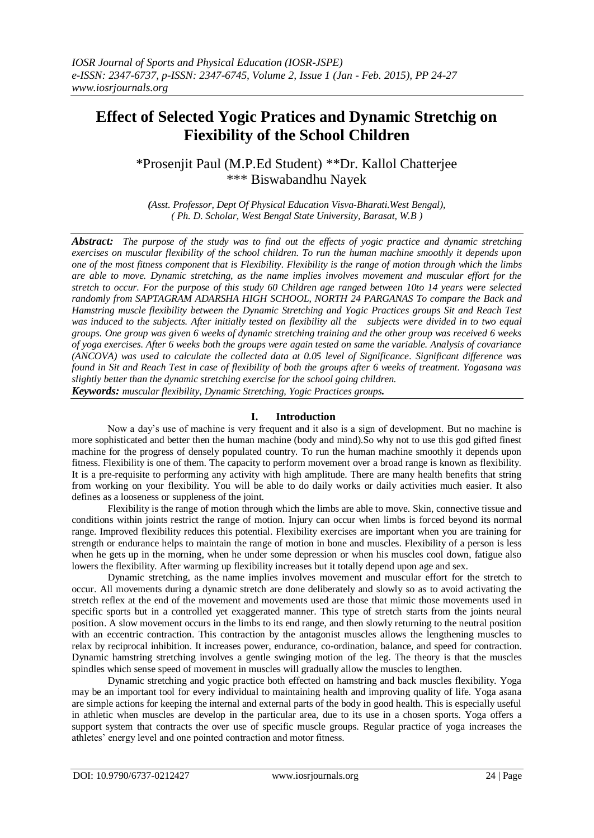# **Effect of Selected Yogic Pratices and Dynamic Stretchig on Fiexibility of the School Children**

\*Prosenjit Paul (M.P.Ed Student) \*\*Dr. Kallol Chatterjee \*\*\* Biswabandhu Nayek

*(Asst. Professor, Dept Of Physical Education Visva-Bharati.West Bengal), ( Ph. D. Scholar, West Bengal State University, Barasat, W.B )*

*Abstract: The purpose of the study was to find out the effects of yogic practice and dynamic stretching exercises on muscular flexibility of the school children. To run the human machine smoothly it depends upon one of the most fitness component that is Flexibility. Flexibility is the range of motion through which the limbs are able to move. Dynamic stretching, as the name implies involves movement and muscular effort for the stretch to occur. For the purpose of this study 60 Children age ranged between 10to 14 years were selected randomly from SAPTAGRAM ADARSHA HIGH SCHOOL, NORTH 24 PARGANAS To compare the Back and Hamstring muscle flexibility between the Dynamic Stretching and Yogic Practices groups Sit and Reach Test was induced to the subjects. After initially tested on flexibility all the subjects were divided in to two equal groups. One group was given 6 weeks of dynamic stretching training and the other group was received 6 weeks of yoga exercises. After 6 weeks both the groups were again tested on same the variable. Analysis of covariance (ANCOVA) was used to calculate the collected data at 0.05 level of Significance. Significant difference was found in Sit and Reach Test in case of flexibility of both the groups after 6 weeks of treatment. Yogasana was slightly better than the dynamic stretching exercise for the school going children.*

*Keywords: muscular flexibility, Dynamic Stretching, Yogic Practices groups.*

## **I. Introduction**

Now a day's use of machine is very frequent and it also is a sign of development. But no machine is more sophisticated and better then the human machine (body and mind).So why not to use this god gifted finest machine for the progress of densely populated country. To run the human machine smoothly it depends upon fitness. Flexibility is one of them. The capacity to perform movement over a broad range is known as flexibility. It is a pre-requisite to performing any activity with high amplitude. There are many health benefits that string from working on your flexibility. You will be able to do daily works or daily activities much easier. It also defines as a looseness or suppleness of the joint.

Flexibility is the range of motion through which the limbs are able to move. Skin, connective tissue and conditions within joints restrict the range of motion. Injury can occur when limbs is forced beyond its normal range. Improved flexibility reduces this potential. Flexibility exercises are important when you are training for strength or endurance helps to maintain the range of motion in bone and muscles. Flexibility of a person is less when he gets up in the morning, when he under some depression or when his muscles cool down, fatigue also lowers the flexibility. After warming up flexibility increases but it totally depend upon age and sex.

Dynamic stretching, as the name implies involves movement and muscular effort for the stretch to occur. All movements during a dynamic stretch are done deliberately and slowly so as to avoid activating the stretch reflex at the end of the movement and movements used are those that mimic those movements used in specific sports but in a controlled yet exaggerated manner. This type of stretch starts from the joints neural position. A slow movement occurs in the limbs to its end range, and then slowly returning to the neutral position with an eccentric contraction. This contraction by the antagonist muscles allows the lengthening muscles to relax by reciprocal inhibition. It increases power, endurance, co-ordination, balance, and speed for contraction. Dynamic hamstring stretching involves a gentle swinging motion of the leg. The theory is that the muscles spindles which sense speed of movement in muscles will gradually allow the muscles to lengthen.

Dynamic stretching and yogic practice both effected on hamstring and back muscles flexibility. Yoga may be an important tool for every individual to maintaining health and improving quality of life. Yoga asana are simple actions for keeping the internal and external parts of the body in good health. This is especially useful in athletic when muscles are develop in the particular area, due to its use in a chosen sports. Yoga offers a support system that contracts the over use of specific muscle groups. Regular practice of yoga increases the athletes' energy level and one pointed contraction and motor fitness.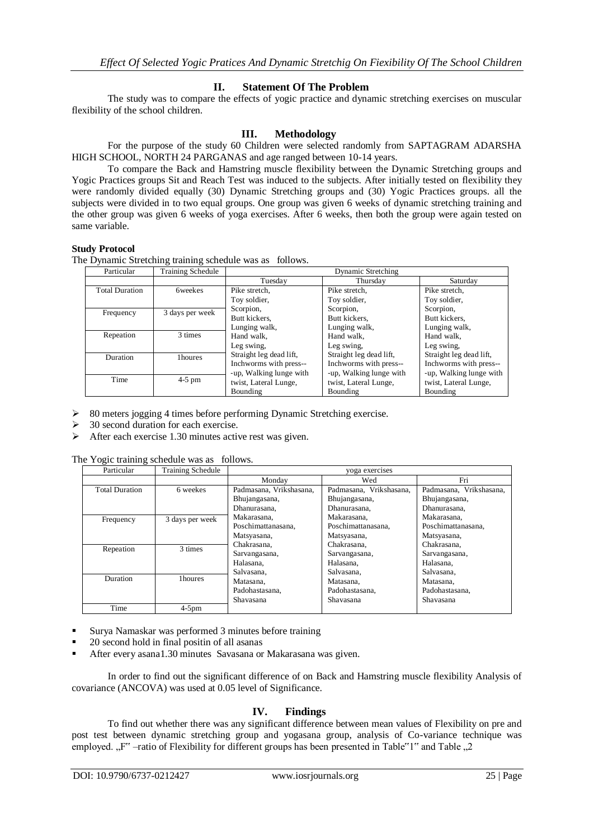# **II. Statement Of The Problem**

The study was to compare the effects of yogic practice and dynamic stretching exercises on muscular flexibility of the school children.

## **III. Methodology**

For the purpose of the study 60 Children were selected randomly from SAPTAGRAM ADARSHA HIGH SCHOOL, NORTH 24 PARGANAS and age ranged between 10-14 years.

To compare the Back and Hamstring muscle flexibility between the Dynamic Stretching groups and Yogic Practices groups Sit and Reach Test was induced to the subjects. After initially tested on flexibility they were randomly divided equally (30) Dynamic Stretching groups and (30) Yogic Practices groups. all the subjects were divided in to two equal groups. One group was given 6 weeks of dynamic stretching training and the other group was given 6 weeks of yoga exercises. After 6 weeks, then both the group were again tested on same variable.

#### **Study Protocol**

The Dynamic Stretching training schedule was as follows.

| Particular            | <b>Training Schedule</b> | <b>Dynamic Stretching</b> |                         |                         |  |  |
|-----------------------|--------------------------|---------------------------|-------------------------|-------------------------|--|--|
|                       |                          | Tuesday                   | Thursday                | Saturday                |  |  |
| <b>Total Duration</b> | <b>6</b> weekes          | Pike stretch.             | Pike stretch,           | Pike stretch.           |  |  |
|                       |                          | Toy soldier,              | Toy soldier,            | Toy soldier,            |  |  |
| Frequency             | 3 days per week          | Scorpion,                 | Scorpion,               | Scorpion,               |  |  |
|                       |                          | Butt kickers.             | Butt kickers.           | Butt kickers.           |  |  |
|                       |                          | Lunging walk,             | Lunging walk,           | Lunging walk,           |  |  |
| Repeation             | 3 times                  | Hand walk.                | Hand walk,              | Hand walk.              |  |  |
|                       |                          | Leg swing.                | Leg swing,              | Leg swing,              |  |  |
| <b>Duration</b>       | 1houres                  | Straight leg dead lift,   | Straight leg dead lift, | Straight leg dead lift, |  |  |
|                       |                          | Inchworms with press--    | Inchworms with press--  | Inchworms with press--  |  |  |
|                       |                          | -up, Walking lunge with   | -up, Walking lunge with | -up, Walking lunge with |  |  |
| Time                  | $4-5$ pm                 | twist, Lateral Lunge,     | twist, Lateral Lunge,   | twist, Lateral Lunge,   |  |  |
|                       |                          | Bounding                  | Bounding                | Bounding                |  |  |

80 meters jogging 4 times before performing Dynamic Stretching exercise.

- 30 second duration for each exercise.
- $\triangleright$  After each exercise 1.30 minutes active rest was given.

The Yogic training schedule was as follows.

| Particular            | <b>Training Schedule</b> | yoga exercises          |                         |                         |  |  |
|-----------------------|--------------------------|-------------------------|-------------------------|-------------------------|--|--|
|                       |                          | Monday                  | Wed                     | Fri                     |  |  |
| <b>Total Duration</b> | 6 weekes                 | Padmasana, Vrikshasana, | Padmasana, Vrikshasana, | Padmasana, Vrikshasana, |  |  |
|                       |                          | Bhujangasana,           | Bhujangasana,           | Bhujangasana,           |  |  |
|                       |                          | Dhanurasana,            | Dhanurasana,            | Dhanurasana.            |  |  |
| Frequency             | 3 days per week          | Makarasana,             | Makarasana.             | Makarasana,             |  |  |
|                       |                          | Poschimattanasana,      | Poschimattanasana,      | Poschimattanasana,      |  |  |
|                       |                          | Matsyasana,             | Matsyasana,             | Matsyasana,             |  |  |
| Repeation             | 3 times                  | Chakrasana,             | Chakrasana,             | Chakrasana,             |  |  |
|                       |                          | Sarvangasana,           | Sarvangasana,           | Sarvangasana,           |  |  |
|                       |                          | Halasana,               | Halasana,               | Halasana,               |  |  |
|                       |                          | Salvasana,              | Salvasana.              | Salvasana,              |  |  |
| Duration              | 1houres                  | Matasana,               | Matasana,               | Matasana,               |  |  |
|                       |                          | Padohastasana,          | Padohastasana,          | Padohastasana,          |  |  |
|                       |                          | Shavasana               | Shavasana               | Shavasana               |  |  |
| Time                  | $4-5$ pm                 |                         |                         |                         |  |  |

Surya Namaskar was performed 3 minutes before training

- 20 second hold in final positin of all asanas
- After every asana1.30 minutes Savasana or Makarasana was given.

In order to find out the significant difference of on Back and Hamstring muscle flexibility Analysis of covariance (ANCOVA) was used at 0.05 level of Significance.

# **IV. Findings**

To find out whether there was any significant difference between mean values of Flexibility on pre and post test between dynamic stretching group and yogasana group, analysis of Co-variance technique was employed.  $\llbracket$ . F" –ratio of Flexibility for different groups has been presented in Table"1" and Table ..2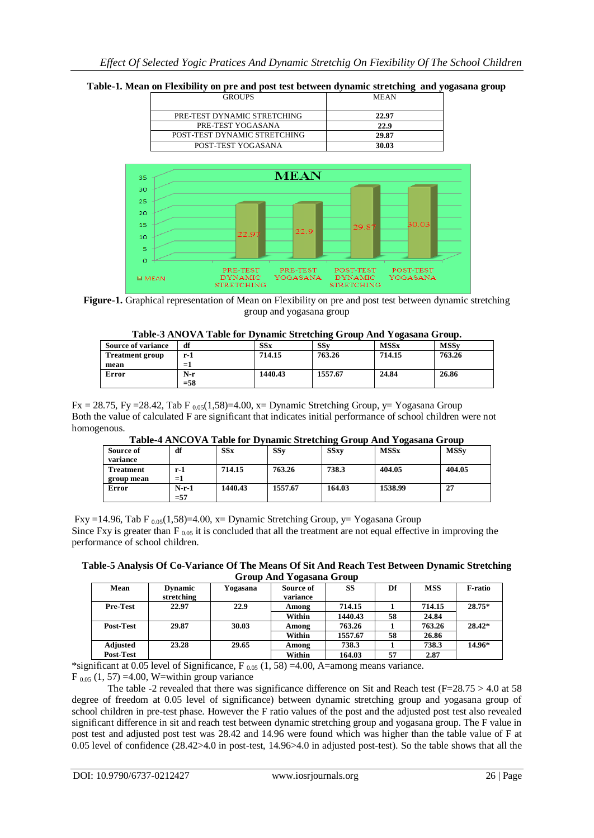#### **Table-1. Mean on Flexibility on pre and post test between dynamic stretching and yogasana group**





**Figure-1.** Graphical representation of Mean on Flexibility on pre and post test between dynamic stretching group and yogasana group

**Table-3 ANOVA Table for Dynamic Stretching Group And Yogasana Group.**

| <b>Source of variance</b> | df     | SSx     | SSv     | <b>MSSx</b> | <b>MSSv</b> |
|---------------------------|--------|---------|---------|-------------|-------------|
| <b>Treatment group</b>    | r-1    | 714.15  | 763.26  | 714.15      | 763.26      |
| mean                      | $=1$   |         |         |             |             |
| Error                     | $N-r$  | 1440.43 | 1557.67 | 24.84       | 26.86       |
|                           | $=$ 58 |         |         |             |             |

#### $Fx = 28.75$ , Fy = 28.42, Tab F  $_{0.05}(1,58) = 4.00$ , x = Dynamic Stretching Group, y = Yogasana Group Both the value of calculated F are significant that indicates initial performance of school children were not homogenous.

| -----------             |                  |         |         |             |             |             |
|-------------------------|------------------|---------|---------|-------------|-------------|-------------|
| Source of<br>variance   | df               | SSx     | SSv     | <b>SSxv</b> | <b>MSSx</b> | <b>MSSv</b> |
| Treatment<br>group mean | r-1<br>$=1$      | 714.15  | 763.26  | 738.3       | 404.05      | 404.05      |
| Error                   | $N-r-1$<br>$=57$ | 1440.43 | 1557.67 | 164.03      | 1538.99     | 27          |

**Table-4 ANCOVA Table for Dynamic Stretching Group And Yogasana Group**

Fxy =14.96, Tab F  $_{0.05}(1,58)$ =4.00, x= Dynamic Stretching Group, y= Yogasana Group Since Fxy is greater than  $F_{.005}$  it is concluded that all the treatment are not equal effective in improving the performance of school children.

**Table-5 Analysis Of Co-Variance Of The Means Of Sit And Reach Test Between Dynamic Stretching Group And Yogasana Group**

|                  |                |          | - <del>--</del> ----- |           |    |            |          |
|------------------|----------------|----------|-----------------------|-----------|----|------------|----------|
| Mean             | <b>Dynamic</b> | Yogasana | Source of             | <b>SS</b> | Df | <b>MSS</b> | F-ratio  |
|                  | stretching     |          | variance              |           |    |            |          |
| <b>Pre-Test</b>  | 22.97          | 22.9     | Among                 | 714.15    |    | 714.15     | $28.75*$ |
|                  |                |          | Within                | 1440.43   | 58 | 24.84      |          |
| <b>Post-Test</b> | 29.87          | 30.03    | Among                 | 763.26    |    | 763.26     | $28.42*$ |
|                  |                |          | Within                | 1557.67   | 58 | 26.86      |          |
| Adjusted         | 23.28          | 29.65    | Among                 | 738.3     |    | 738.3      | 14.96*   |
| <b>Post-Test</b> |                |          | Within                | 164.03    | 57 | 2.87       |          |

\*significant at 0.05 level of Significance,  $F_{0.05}$  (1, 58) =4.00, A=among means variance.

 $F_{0.05}$  (1, 57) = 4.00, W=within group variance

The table -2 revealed that there was significance difference on Sit and Reach test ( $F=28.75 > 4.0$  at 58 degree of freedom at 0.05 level of significance) between dynamic stretching group and yogasana group of school children in pre-test phase. However the F ratio values of the post and the adjusted post test also revealed significant difference in sit and reach test between dynamic stretching group and yogasana group. The F value in post test and adjusted post test was 28.42 and 14.96 were found which was higher than the table value of F at 0.05 level of confidence (28.42>4.0 in post-test, 14.96>4.0 in adjusted post-test). So the table shows that all the